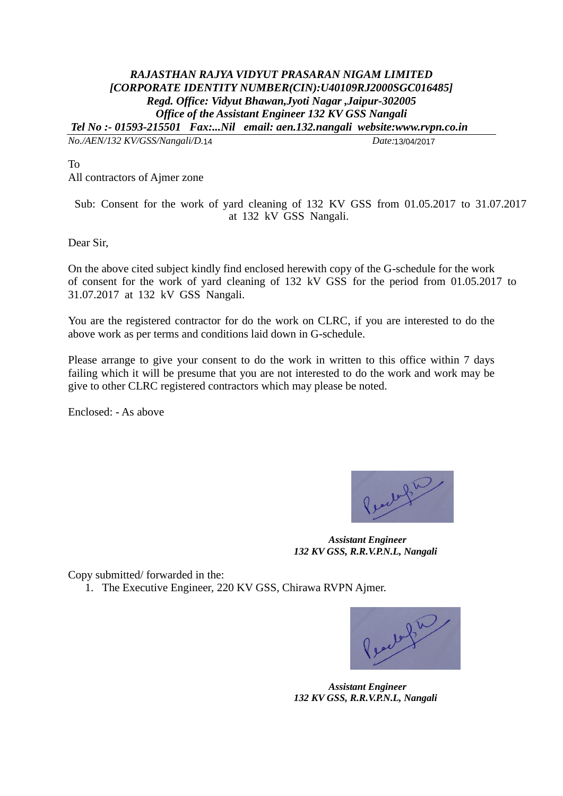## *RAJASTHAN RAJYA VIDYUT PRASARAN NIGAM LIMITED [CORPORATE IDENTITY NUMBER(CIN):U40109RJ2000SGC016485] Regd. Office: Vidyut Bhawan,Jyoti Nagar ,Jaipur-302005 Office of the Assistant Engineer 132 KV GSS Nangali Tel No :- 01593-215501 Fax:...Nil email: aen.132.nangali website:www.rvpn.co.in*

*No./AEN/132 KV/GSS/Nangali/D. Date:*

Date:13/04/2017

To

All contractors of Ajmer zone

Sub: Consent for the work of yard cleaning of 132 KV GSS from 01.05.2017 to 31.07.2017 at 132 kV GSS Nangali.

Dear Sir,

On the above cited subject kindly find enclosed herewith copy of the G-schedule for the work of consent for the work of yard cleaning of 132 kV GSS for the period from 01.05.2017 to 31.07.2017 at 132 kV GSS Nangali.

You are the registered contractor for do the work on CLRC, if you are interested to do the above work as per terms and conditions laid down in G-schedule.

Please arrange to give your consent to do the work in written to this office within 7 days failing which it will be presume that you are not interested to do the work and work may be give to other CLRC registered contractors which may please be noted.

Enclosed: - As above



 *Assistant Engineer 132 KV GSS, R.R.V.P.N.L, Nangali*

Copy submitted/ forwarded in the:

1. The Executive Engineer, 220 KV GSS, Chirawa RVPN Ajmer.

Pearle fin

 *Assistant Engineer 132 KV GSS, R.R.V.P.N.L, Nangali*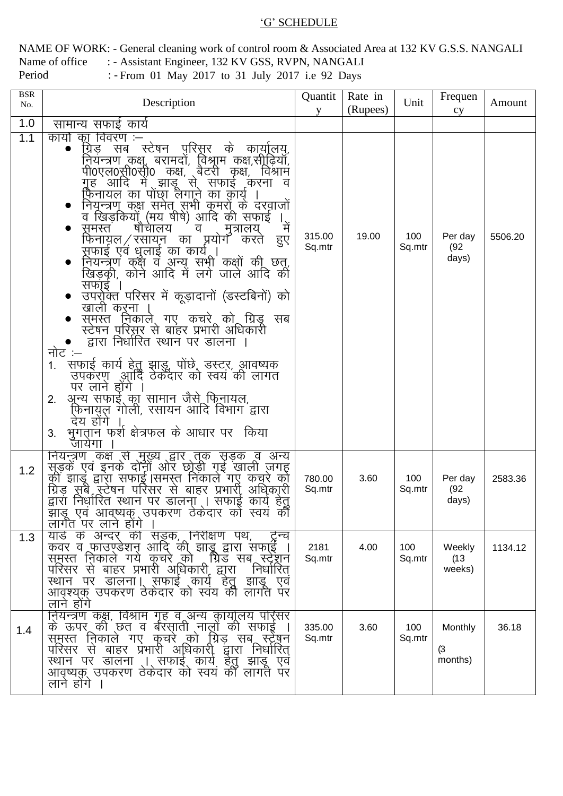## 'G' SCHEDULE

NAME OF WORK: - General cleaning work of control room & Associated Area at 132 KV G.S.S. NANGALI : - Assistant Engineer, 132 KV GSS, RVPN, NANGALI Name of office Period

:- From 01 May 2017 to 31 July 2017 i.e 92 Days

| <b>BSR</b><br>No. | Description                                                                                                                                                                                                                                                                                                                                                                                                                                                                                                                                                                                                                                                                                                                                                                                                                                                                                                                                                                                           | Quantit<br>V     | Rate in<br>(Rupees) | Unit          | Frequen<br>cy                    | Amount  |
|-------------------|-------------------------------------------------------------------------------------------------------------------------------------------------------------------------------------------------------------------------------------------------------------------------------------------------------------------------------------------------------------------------------------------------------------------------------------------------------------------------------------------------------------------------------------------------------------------------------------------------------------------------------------------------------------------------------------------------------------------------------------------------------------------------------------------------------------------------------------------------------------------------------------------------------------------------------------------------------------------------------------------------------|------------------|---------------------|---------------|----------------------------------|---------|
| 1.0               | सामान्य सफाई कार्य                                                                                                                                                                                                                                                                                                                                                                                                                                                                                                                                                                                                                                                                                                                                                                                                                                                                                                                                                                                    |                  |                     |               |                                  |         |
| 1.1               | का विवरण :–<br>कार्या<br>यि़ड़ सब स्टेषन पुरिस़र के कार्यालय़,<br>नियन्त्रण कक्ष, बरामदों, विश्राम कक्ष,सीढियाँ,<br>पी0एल0र्स्री0स्ी़0 कक्ष, बैटरी कृक्ष, विश्राम<br>ग्रूह आदि में झाडू से सफाई करना व<br>फि़नायल का पोंछा लेगाने का क़ोर्य<br>नियून्त्रणू कक्ष समेतू सभी कुमरों के दरवाजों<br>व खिड़कियों (मय षीषे) आदि की सफाई<br>षौचालय<br>म<br>समस्त<br>व<br>मुत्रालय्<br>फिनायल ⁄ रसायन का प्रयोग करते<br>हुए<br>सफाई एवं धुलाई का कार्यू।<br>नियन्त्रण कक्ष व अन्य सभी कक्षों की छत्,<br>खिड़की, कोने आदि में लगे जाले आदि की<br>सफाई ।<br>उपरो्क्त परिसर में कूड़ादानों (डस्टबिनों) को<br>खाली करना<br>समस्त निकाले गए कचरे को ग्रिड सब<br>स्टेषन परिस़ूर से बाहर प्रभारी अधिकारी<br>द्वारा निर्धारित स्थान पर डालना ।<br>नोट :–<br>सफाई कार्य हेतु झाडू, पोंछे, डस्टर, आवष्यक<br>1.<br>उपकरण आदि ठेकेंदार को स्वयं की लागत<br>पर लाने होंगे<br>अून्य सफाई् का सामान जैसे फि़्नायल,<br>2.<br>फ़िनायुल गोली, रसायन आदि विभाग द्वारा<br>देय होंगे<br>भुगतान फर्श क्षेत्रफल के आधार पर किया<br>3. | 315.00<br>Sq.mtr | 19.00               | 100<br>Sq.mtr | Per day<br>(92)<br>days)         | 5506.20 |
| 1.2               | जायेगा<br><u>नियन्त्रण कक्ष से मुख्य द्वार तूक सृ</u> ड़क व अन्य<br>सूड़कें एवं इनके दोनों ओर छोड़ी गुई खाली ज़गह<br>की झाडू द्वारा सफाई  समस्त निकाले गए कचूरे को<br>अधिकारी<br>ग्रिड़ संबें रूटेषन परिसर से बाहर प्रभारी ़<br>द्वारा निर्धारित स्थान पर डॉलना । सफाई कार्य हेतु<br>झाडू एवं आवष्यक् उपकरण ठेकेदार को स्वयं की<br>लागत पर लाने होंगे                                                                                                                                                                                                                                                                                                                                                                                                                                                                                                                                                                                                                                                 | 780.00<br>Sq.mtr | 3.60                | 100<br>Sq.mtr | Per day<br>(92)<br>days)         | 2583.36 |
| 1.3               | यार्ड के अन्दर् की सडूक,ूर्निरीक्षण पथ,<br>टिन्च<br>कंवर व फाउण्डेशन आदि की झाड़ू द्वारा सफा्ई ।<br>समस्त निकाले गये कुचरे को गोड सब स्ट्रेशन<br>परिसर से बाहर प्रभारी अधिकारी द्वारा<br>निर्धारित<br>स्थान पर डालना। सफाई कार्य हेतु<br>झाडू एव<br>आवश्यक उपकरण ठेकेदार को स्वय की लागत पर<br>लाने होंगे                                                                                                                                                                                                                                                                                                                                                                                                                                                                                                                                                                                                                                                                                             | 2181<br>Sq.mtr   | 4.00                | 100<br>Sq.mtr | Weekly<br>(13)<br>weeks)         | 1134.12 |
| 1.4               | नियन्त्रण कक्ष, विश्राम गृह व अन्य कार्यालय परिसर<br>के ऊपर की छत व बॅरसाती नालों की सफाई<br>समस्त निकाले गए कुचरे को ग्रिड सब स्ट्रेषन<br>परिसर से बाहर प्रभारी अधिकारी द्वारा<br>निर्धारित<br>स्थान पर डालना ्।्सफाइ् <u>काय हतु</u> ।<br>झाडू एव<br>आवृष्यक उपकरण ठेकेदार को स्वय की लागतें पर<br>लाने होंगे ।                                                                                                                                                                                                                                                                                                                                                                                                                                                                                                                                                                                                                                                                                     | 335.00<br>Sq.mtr | 3.60                | 100<br>Sq.mtr | <b>Monthly</b><br>(3)<br>months) | 36.18   |